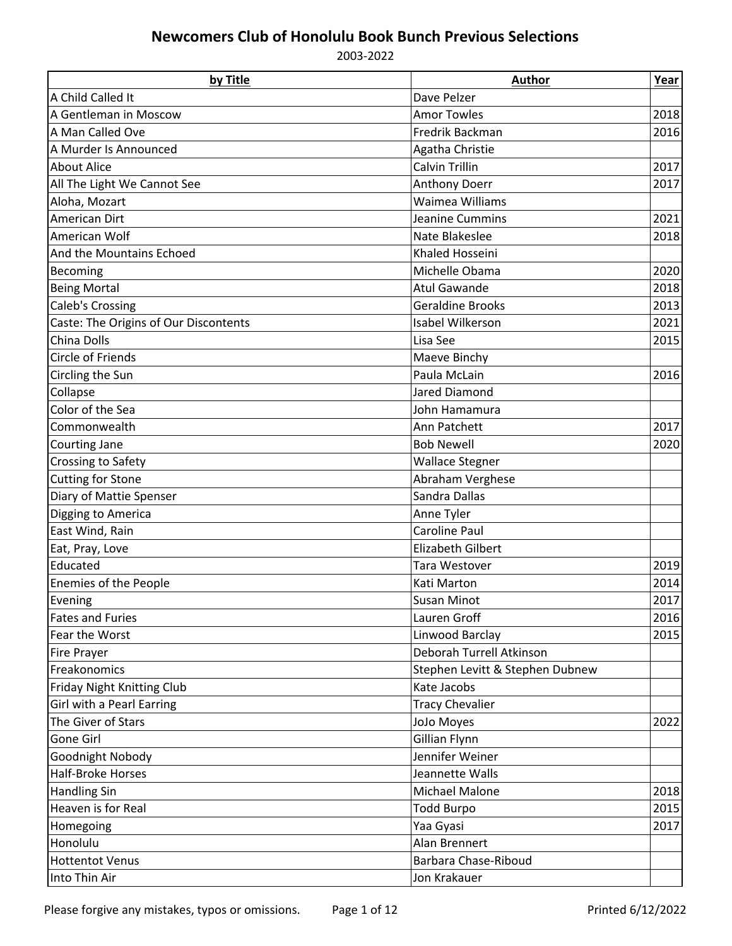| by Title                              | <b>Author</b>                   | Year |
|---------------------------------------|---------------------------------|------|
| A Child Called It                     | Dave Pelzer                     |      |
| A Gentleman in Moscow                 | <b>Amor Towles</b>              | 2018 |
| A Man Called Ove                      | Fredrik Backman                 | 2016 |
| A Murder Is Announced                 | Agatha Christie                 |      |
| <b>About Alice</b>                    | <b>Calvin Trillin</b>           | 2017 |
| All The Light We Cannot See           | Anthony Doerr                   | 2017 |
| Aloha, Mozart                         | Waimea Williams                 |      |
| <b>American Dirt</b>                  | Jeanine Cummins                 | 2021 |
| American Wolf                         | Nate Blakeslee                  | 2018 |
| And the Mountains Echoed              | Khaled Hosseini                 |      |
| Becoming                              | Michelle Obama                  | 2020 |
| <b>Being Mortal</b>                   | <b>Atul Gawande</b>             | 2018 |
| <b>Caleb's Crossing</b>               | <b>Geraldine Brooks</b>         | 2013 |
| Caste: The Origins of Our Discontents | Isabel Wilkerson                | 2021 |
| China Dolls                           | Lisa See                        | 2015 |
| <b>Circle of Friends</b>              | Maeve Binchy                    |      |
| Circling the Sun                      | Paula McLain                    | 2016 |
| Collapse                              | Jared Diamond                   |      |
| Color of the Sea                      | John Hamamura                   |      |
| Commonwealth                          | Ann Patchett                    | 2017 |
| Courting Jane                         | <b>Bob Newell</b>               | 2020 |
| Crossing to Safety                    | <b>Wallace Stegner</b>          |      |
| <b>Cutting for Stone</b>              | Abraham Verghese                |      |
| Diary of Mattie Spenser               | Sandra Dallas                   |      |
| Digging to America                    | Anne Tyler                      |      |
| East Wind, Rain                       | <b>Caroline Paul</b>            |      |
| Eat, Pray, Love                       | <b>Elizabeth Gilbert</b>        |      |
| Educated                              | Tara Westover                   | 2019 |
| <b>Enemies of the People</b>          | Kati Marton                     | 2014 |
| Evening                               | <b>Susan Minot</b>              | 2017 |
| <b>Fates and Furies</b>               | Lauren Groff                    | 2016 |
| Fear the Worst                        | Linwood Barclay                 | 2015 |
| Fire Prayer                           | Deborah Turrell Atkinson        |      |
| Freakonomics                          | Stephen Levitt & Stephen Dubnew |      |
| Friday Night Knitting Club            | Kate Jacobs                     |      |
| Girl with a Pearl Earring             | <b>Tracy Chevalier</b>          |      |
| The Giver of Stars                    | JoJo Moyes                      | 2022 |
| Gone Girl                             | Gillian Flynn                   |      |
| Goodnight Nobody                      | Jennifer Weiner                 |      |
| Half-Broke Horses                     | Jeannette Walls                 |      |
| <b>Handling Sin</b>                   | <b>Michael Malone</b>           | 2018 |
| Heaven is for Real                    | <b>Todd Burpo</b>               | 2015 |
| Homegoing                             | Yaa Gyasi                       | 2017 |
| Honolulu                              | Alan Brennert                   |      |
| <b>Hottentot Venus</b>                | <b>Barbara Chase-Riboud</b>     |      |
| Into Thin Air                         | Jon Krakauer                    |      |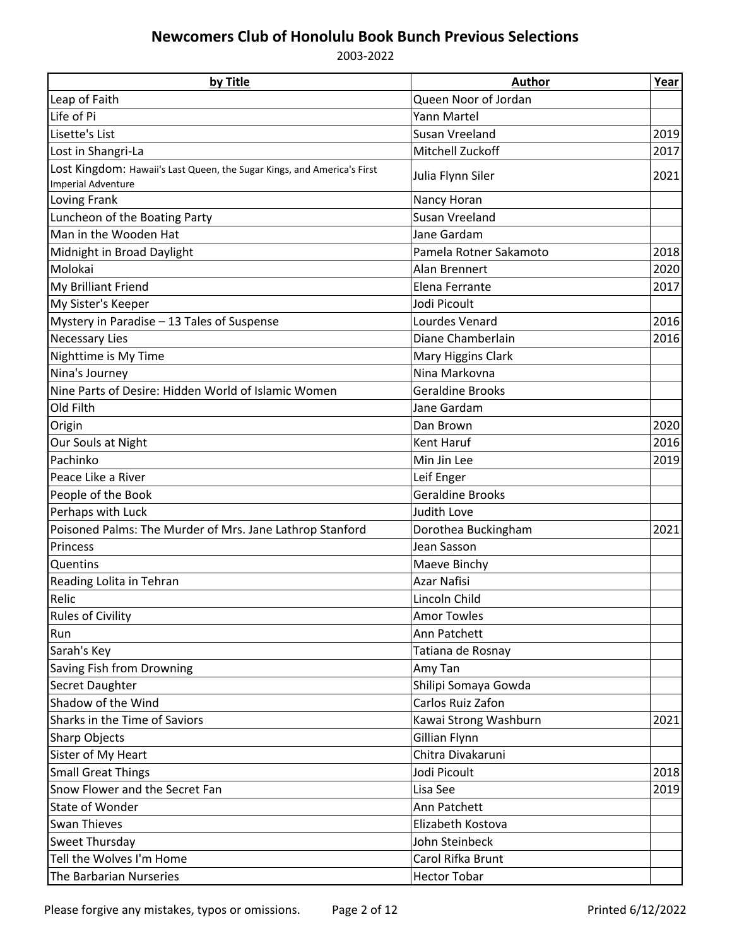| by Title                                                                | <b>Author</b>           | Year |
|-------------------------------------------------------------------------|-------------------------|------|
| Leap of Faith                                                           | Queen Noor of Jordan    |      |
| Life of Pi                                                              | Yann Martel             |      |
| Lisette's List                                                          | Susan Vreeland          | 2019 |
| Lost in Shangri-La                                                      | <b>Mitchell Zuckoff</b> | 2017 |
| Lost Kingdom: Hawaii's Last Queen, the Sugar Kings, and America's First | Julia Flynn Siler       | 2021 |
| <b>Imperial Adventure</b>                                               |                         |      |
| Loving Frank                                                            | Nancy Horan             |      |
| Luncheon of the Boating Party                                           | Susan Vreeland          |      |
| Man in the Wooden Hat                                                   | Jane Gardam             |      |
| Midnight in Broad Daylight                                              | Pamela Rotner Sakamoto  | 2018 |
| Molokai                                                                 | Alan Brennert           | 2020 |
| My Brilliant Friend                                                     | Elena Ferrante          | 2017 |
| My Sister's Keeper                                                      | Jodi Picoult            |      |
| Mystery in Paradise - 13 Tales of Suspense                              | Lourdes Venard          | 2016 |
| <b>Necessary Lies</b>                                                   | Diane Chamberlain       | 2016 |
| Nighttime is My Time                                                    | Mary Higgins Clark      |      |
| Nina's Journey                                                          | Nina Markovna           |      |
| Nine Parts of Desire: Hidden World of Islamic Women                     | <b>Geraldine Brooks</b> |      |
| Old Filth                                                               | Jane Gardam             |      |
| Origin                                                                  | Dan Brown               | 2020 |
| Our Souls at Night                                                      | Kent Haruf              | 2016 |
| Pachinko                                                                | Min Jin Lee             | 2019 |
| Peace Like a River                                                      | Leif Enger              |      |
| People of the Book                                                      | <b>Geraldine Brooks</b> |      |
| Perhaps with Luck                                                       | Judith Love             |      |
| Poisoned Palms: The Murder of Mrs. Jane Lathrop Stanford                | Dorothea Buckingham     | 2021 |
| Princess                                                                | Jean Sasson             |      |
| Quentins                                                                | Maeve Binchy            |      |
| Reading Lolita in Tehran                                                | <b>Azar Nafisi</b>      |      |
| Relic                                                                   | Lincoln Child           |      |
| <b>Rules of Civility</b>                                                | <b>Amor Towles</b>      |      |
| Run                                                                     | Ann Patchett            |      |
| Sarah's Key                                                             | Tatiana de Rosnay       |      |
| Saving Fish from Drowning                                               | Amy Tan                 |      |
| Secret Daughter                                                         | Shilipi Somaya Gowda    |      |
| Shadow of the Wind                                                      | Carlos Ruiz Zafon       |      |
| Sharks in the Time of Saviors                                           | Kawai Strong Washburn   | 2021 |
| Sharp Objects                                                           | Gillian Flynn           |      |
| Sister of My Heart                                                      | Chitra Divakaruni       |      |
| <b>Small Great Things</b>                                               | Jodi Picoult            | 2018 |
| Snow Flower and the Secret Fan                                          | Lisa See                | 2019 |
| State of Wonder                                                         | Ann Patchett            |      |
| <b>Swan Thieves</b>                                                     | Elizabeth Kostova       |      |
| Sweet Thursday                                                          | John Steinbeck          |      |
| Tell the Wolves I'm Home                                                | Carol Rifka Brunt       |      |
| The Barbarian Nurseries                                                 | <b>Hector Tobar</b>     |      |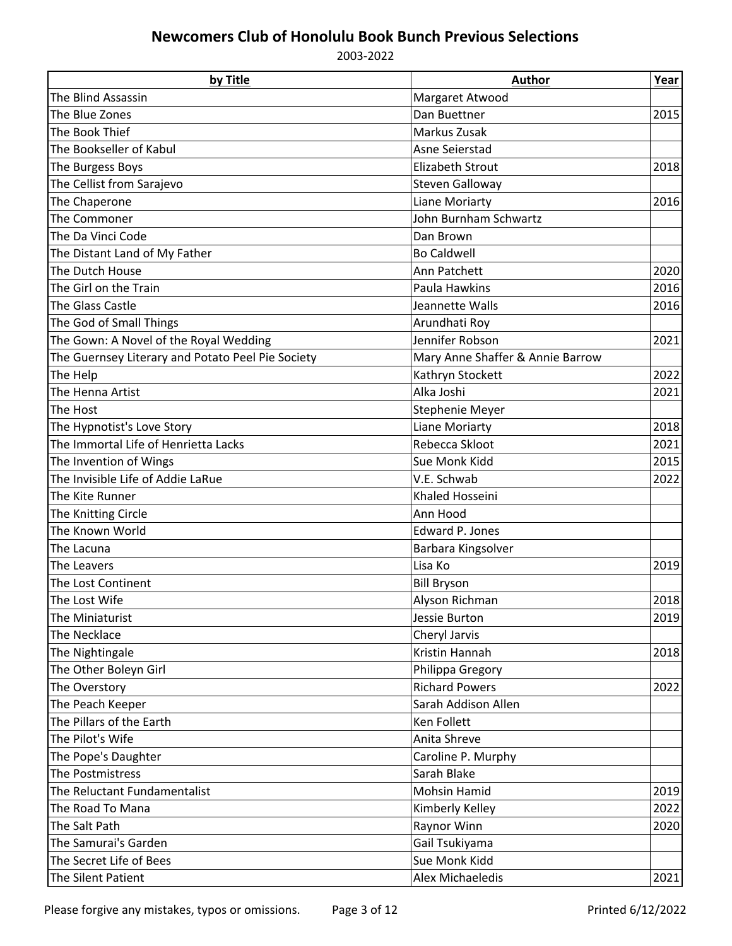| by Title                                          | <b>Author</b>                    | Year |
|---------------------------------------------------|----------------------------------|------|
| The Blind Assassin                                | Margaret Atwood                  |      |
| The Blue Zones                                    | Dan Buettner                     | 2015 |
| The Book Thief                                    | Markus Zusak                     |      |
| The Bookseller of Kabul                           | Asne Seierstad                   |      |
| The Burgess Boys                                  | <b>Elizabeth Strout</b>          | 2018 |
| The Cellist from Sarajevo                         | <b>Steven Galloway</b>           |      |
| The Chaperone                                     | <b>Liane Moriarty</b>            | 2016 |
| The Commoner                                      | John Burnham Schwartz            |      |
| The Da Vinci Code                                 | Dan Brown                        |      |
| The Distant Land of My Father                     | <b>Bo Caldwell</b>               |      |
| The Dutch House                                   | Ann Patchett                     | 2020 |
| The Girl on the Train                             | Paula Hawkins                    | 2016 |
| The Glass Castle                                  | Jeannette Walls                  | 2016 |
| The God of Small Things                           | Arundhati Roy                    |      |
| The Gown: A Novel of the Royal Wedding            | Jennifer Robson                  | 2021 |
| The Guernsey Literary and Potato Peel Pie Society | Mary Anne Shaffer & Annie Barrow |      |
| The Help                                          | Kathryn Stockett                 | 2022 |
| The Henna Artist                                  | Alka Joshi                       | 2021 |
| The Host                                          | Stephenie Meyer                  |      |
| The Hypnotist's Love Story                        | Liane Moriarty                   | 2018 |
| The Immortal Life of Henrietta Lacks              | Rebecca Skloot                   | 2021 |
| The Invention of Wings                            | Sue Monk Kidd                    | 2015 |
| The Invisible Life of Addie LaRue                 | V.E. Schwab                      | 2022 |
| The Kite Runner                                   | Khaled Hosseini                  |      |
| The Knitting Circle                               | Ann Hood                         |      |
| The Known World                                   | <b>Edward P. Jones</b>           |      |
| The Lacuna                                        | Barbara Kingsolver               |      |
| The Leavers                                       | Lisa Ko                          | 2019 |
| The Lost Continent                                | <b>Bill Bryson</b>               |      |
| The Lost Wife                                     | Alyson Richman                   | 2018 |
| The Miniaturist                                   | Jessie Burton                    | 2019 |
| The Necklace                                      | Cheryl Jarvis                    |      |
| The Nightingale                                   | Kristin Hannah                   | 2018 |
| The Other Boleyn Girl                             | Philippa Gregory                 |      |
| The Overstory                                     | <b>Richard Powers</b>            | 2022 |
| The Peach Keeper                                  | Sarah Addison Allen              |      |
| The Pillars of the Earth                          | Ken Follett                      |      |
| The Pilot's Wife                                  | Anita Shreve                     |      |
| The Pope's Daughter                               | Caroline P. Murphy               |      |
| The Postmistress                                  | Sarah Blake                      |      |
| The Reluctant Fundamentalist                      | Mohsin Hamid                     | 2019 |
| The Road To Mana                                  | Kimberly Kelley                  | 2022 |
| The Salt Path                                     | Raynor Winn                      | 2020 |
| The Samurai's Garden                              | Gail Tsukiyama                   |      |
| The Secret Life of Bees                           | Sue Monk Kidd                    |      |
|                                                   |                                  |      |
| The Silent Patient                                | Alex Michaeledis                 | 2021 |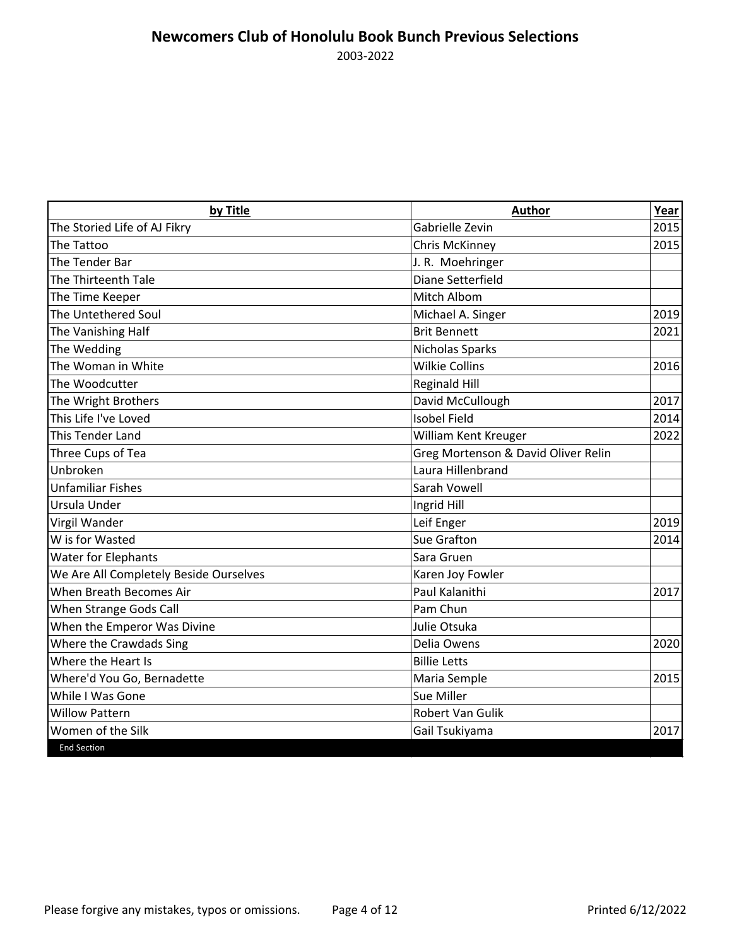| by Title                               | <b>Author</b>                       | Year |
|----------------------------------------|-------------------------------------|------|
| The Storied Life of AJ Fikry           | Gabrielle Zevin                     | 2015 |
| The Tattoo                             | <b>Chris McKinney</b>               | 2015 |
| The Tender Bar                         | J. R. Moehringer                    |      |
| The Thirteenth Tale                    | Diane Setterfield                   |      |
| The Time Keeper                        | Mitch Albom                         |      |
| The Untethered Soul                    | Michael A. Singer                   | 2019 |
| The Vanishing Half                     | <b>Brit Bennett</b>                 | 2021 |
| The Wedding                            | Nicholas Sparks                     |      |
| The Woman in White                     | <b>Wilkie Collins</b>               | 2016 |
| The Woodcutter                         | <b>Reginald Hill</b>                |      |
| The Wright Brothers                    | David McCullough                    | 2017 |
| This Life I've Loved                   | <b>Isobel Field</b>                 | 2014 |
| This Tender Land                       | William Kent Kreuger                | 2022 |
| Three Cups of Tea                      | Greg Mortenson & David Oliver Relin |      |
| Unbroken                               | Laura Hillenbrand                   |      |
| <b>Unfamiliar Fishes</b>               | <b>Sarah Vowell</b>                 |      |
| Ursula Under                           | Ingrid Hill                         |      |
| Virgil Wander                          | Leif Enger                          | 2019 |
| W is for Wasted                        | <b>Sue Grafton</b>                  | 2014 |
| <b>Water for Elephants</b>             | Sara Gruen                          |      |
| We Are All Completely Beside Ourselves | Karen Joy Fowler                    |      |
| When Breath Becomes Air                | Paul Kalanithi                      | 2017 |
| When Strange Gods Call                 | Pam Chun                            |      |
| When the Emperor Was Divine            | Julie Otsuka                        |      |
| Where the Crawdads Sing                | Delia Owens                         | 2020 |
| Where the Heart Is                     | <b>Billie Letts</b>                 |      |
| Where'd You Go, Bernadette             | Maria Semple                        | 2015 |
| While I Was Gone                       | Sue Miller                          |      |
| <b>Willow Pattern</b>                  | <b>Robert Van Gulik</b>             |      |
| Women of the Silk                      | Gail Tsukiyama                      | 2017 |
| <b>End Section</b>                     |                                     |      |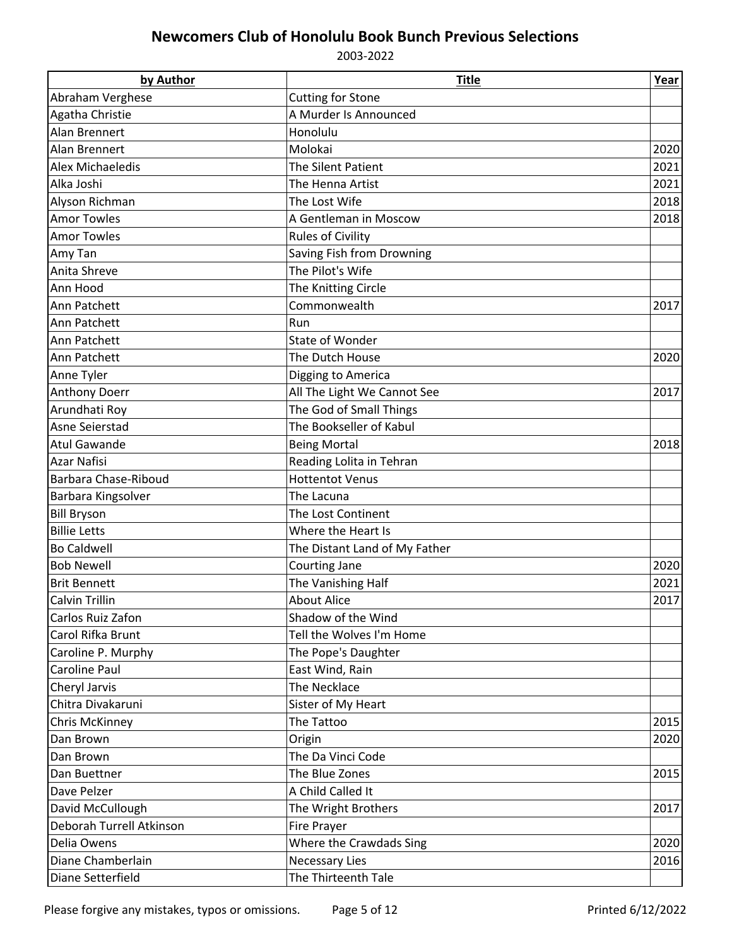| by Author                | <b>Title</b>                  | Year |  |
|--------------------------|-------------------------------|------|--|
| Abraham Verghese         | <b>Cutting for Stone</b>      |      |  |
| Agatha Christie          | A Murder Is Announced         |      |  |
| <b>Alan Brennert</b>     | Honolulu                      |      |  |
| Alan Brennert            | Molokai                       | 2020 |  |
| Alex Michaeledis         | The Silent Patient            | 2021 |  |
| Alka Joshi               | The Henna Artist              | 2021 |  |
| Alyson Richman           | The Lost Wife                 | 2018 |  |
| <b>Amor Towles</b>       | A Gentleman in Moscow         | 2018 |  |
| <b>Amor Towles</b>       | <b>Rules of Civility</b>      |      |  |
| Amy Tan                  | Saving Fish from Drowning     |      |  |
| Anita Shreve             | The Pilot's Wife              |      |  |
| Ann Hood                 | The Knitting Circle           |      |  |
| Ann Patchett             | Commonwealth                  | 2017 |  |
| Ann Patchett             | Run                           |      |  |
| Ann Patchett             | State of Wonder               |      |  |
| Ann Patchett             | The Dutch House               | 2020 |  |
| Anne Tyler               | Digging to America            |      |  |
| <b>Anthony Doerr</b>     | All The Light We Cannot See   | 2017 |  |
| Arundhati Roy            | The God of Small Things       |      |  |
| Asne Seierstad           | The Bookseller of Kabul       |      |  |
| <b>Atul Gawande</b>      | <b>Being Mortal</b>           | 2018 |  |
| <b>Azar Nafisi</b>       | Reading Lolita in Tehran      |      |  |
| Barbara Chase-Riboud     | <b>Hottentot Venus</b>        |      |  |
| Barbara Kingsolver       | The Lacuna                    |      |  |
| <b>Bill Bryson</b>       | The Lost Continent            |      |  |
| <b>Billie Letts</b>      | Where the Heart Is            |      |  |
| <b>Bo Caldwell</b>       | The Distant Land of My Father |      |  |
| <b>Bob Newell</b>        | Courting Jane                 | 2020 |  |
| <b>Brit Bennett</b>      | The Vanishing Half            | 2021 |  |
| <b>Calvin Trillin</b>    | <b>About Alice</b>            | 2017 |  |
| Carlos Ruiz Zafon        | Shadow of the Wind            |      |  |
| Carol Rifka Brunt        | Tell the Wolves I'm Home      |      |  |
| Caroline P. Murphy       | The Pope's Daughter           |      |  |
| Caroline Paul            | East Wind, Rain               |      |  |
| Cheryl Jarvis            | The Necklace                  |      |  |
| Chitra Divakaruni        | Sister of My Heart            |      |  |
| Chris McKinney           | The Tattoo                    | 2015 |  |
| Dan Brown                | Origin                        | 2020 |  |
| Dan Brown                | The Da Vinci Code             |      |  |
| Dan Buettner             | The Blue Zones                | 2015 |  |
| Dave Pelzer              | A Child Called It             |      |  |
| David McCullough         | The Wright Brothers           | 2017 |  |
| Deborah Turrell Atkinson | Fire Prayer                   |      |  |
| Delia Owens              | Where the Crawdads Sing       | 2020 |  |
| Diane Chamberlain        | <b>Necessary Lies</b>         | 2016 |  |
| Diane Setterfield        | The Thirteenth Tale           |      |  |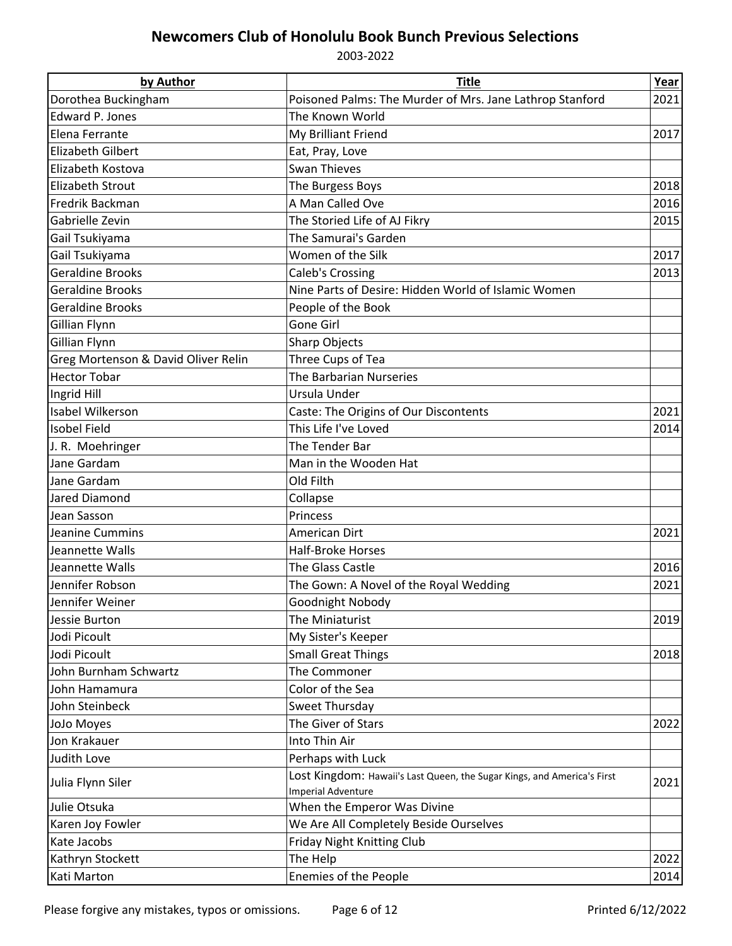| by Author                           | <b>Title</b>                                                                                         | Year |
|-------------------------------------|------------------------------------------------------------------------------------------------------|------|
| Dorothea Buckingham                 | Poisoned Palms: The Murder of Mrs. Jane Lathrop Stanford                                             | 2021 |
| Edward P. Jones                     | The Known World                                                                                      |      |
| Elena Ferrante                      | My Brilliant Friend                                                                                  | 2017 |
| <b>Elizabeth Gilbert</b>            | Eat, Pray, Love                                                                                      |      |
| Elizabeth Kostova                   | <b>Swan Thieves</b>                                                                                  |      |
| <b>Elizabeth Strout</b>             | The Burgess Boys                                                                                     | 2018 |
| Fredrik Backman                     | A Man Called Ove                                                                                     | 2016 |
| Gabrielle Zevin                     | The Storied Life of AJ Fikry                                                                         | 2015 |
| Gail Tsukiyama                      | The Samurai's Garden                                                                                 |      |
| Gail Tsukiyama                      | Women of the Silk                                                                                    | 2017 |
| <b>Geraldine Brooks</b>             | Caleb's Crossing                                                                                     | 2013 |
| <b>Geraldine Brooks</b>             | Nine Parts of Desire: Hidden World of Islamic Women                                                  |      |
| <b>Geraldine Brooks</b>             | People of the Book                                                                                   |      |
| Gillian Flynn                       | Gone Girl                                                                                            |      |
| Gillian Flynn                       | Sharp Objects                                                                                        |      |
| Greg Mortenson & David Oliver Relin | Three Cups of Tea                                                                                    |      |
| <b>Hector Tobar</b>                 | The Barbarian Nurseries                                                                              |      |
| Ingrid Hill                         | Ursula Under                                                                                         |      |
| <b>Isabel Wilkerson</b>             | Caste: The Origins of Our Discontents                                                                | 2021 |
| <b>Isobel Field</b>                 | This Life I've Loved                                                                                 | 2014 |
| J. R. Moehringer                    | The Tender Bar                                                                                       |      |
| Jane Gardam                         | Man in the Wooden Hat                                                                                |      |
| Jane Gardam                         | Old Filth                                                                                            |      |
| Jared Diamond                       | Collapse                                                                                             |      |
| Jean Sasson                         | Princess                                                                                             |      |
| Jeanine Cummins                     | American Dirt                                                                                        | 2021 |
| Jeannette Walls                     | <b>Half-Broke Horses</b>                                                                             |      |
| Jeannette Walls                     | The Glass Castle                                                                                     | 2016 |
| Jennifer Robson                     | The Gown: A Novel of the Royal Wedding                                                               | 2021 |
| Jennifer Weiner                     | Goodnight Nobody                                                                                     |      |
| Jessie Burton                       | The Miniaturist                                                                                      | 2019 |
| Jodi Picoult                        | My Sister's Keeper                                                                                   |      |
| Jodi Picoult                        | <b>Small Great Things</b>                                                                            | 2018 |
| John Burnham Schwartz               | The Commoner                                                                                         |      |
| John Hamamura                       | Color of the Sea                                                                                     |      |
| John Steinbeck                      | Sweet Thursday                                                                                       |      |
| JoJo Moyes                          | The Giver of Stars                                                                                   | 2022 |
| Jon Krakauer                        | Into Thin Air                                                                                        |      |
| Judith Love                         | Perhaps with Luck                                                                                    |      |
| Julia Flynn Siler                   | Lost Kingdom: Hawaii's Last Queen, the Sugar Kings, and America's First<br><b>Imperial Adventure</b> | 2021 |
| Julie Otsuka                        | When the Emperor Was Divine                                                                          |      |
| Karen Joy Fowler                    | We Are All Completely Beside Ourselves                                                               |      |
| Kate Jacobs                         | Friday Night Knitting Club                                                                           |      |
| Kathryn Stockett                    | The Help                                                                                             | 2022 |
| Kati Marton                         | Enemies of the People                                                                                | 2014 |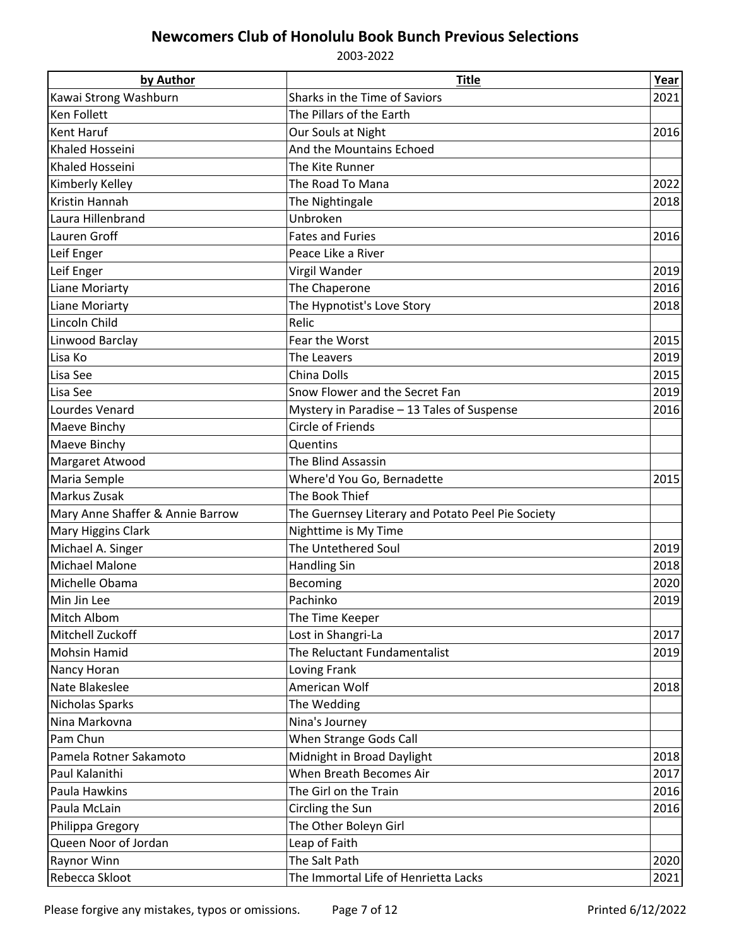| by Author                        | <b>Title</b>                                      | Year |
|----------------------------------|---------------------------------------------------|------|
| Kawai Strong Washburn            | Sharks in the Time of Saviors                     | 2021 |
| <b>Ken Follett</b>               | The Pillars of the Earth                          |      |
| <b>Kent Haruf</b>                | Our Souls at Night<br>2016                        |      |
| <b>Khaled Hosseini</b>           | And the Mountains Echoed                          |      |
| Khaled Hosseini                  | The Kite Runner                                   |      |
| Kimberly Kelley                  | The Road To Mana                                  | 2022 |
| Kristin Hannah                   | The Nightingale                                   | 2018 |
| Laura Hillenbrand                | Unbroken                                          |      |
| Lauren Groff                     | <b>Fates and Furies</b>                           | 2016 |
| Leif Enger                       | Peace Like a River                                |      |
| Leif Enger                       | Virgil Wander                                     | 2019 |
| Liane Moriarty                   | The Chaperone                                     | 2016 |
| Liane Moriarty                   | The Hypnotist's Love Story                        | 2018 |
| Lincoln Child                    | Relic                                             |      |
| Linwood Barclay                  | Fear the Worst                                    | 2015 |
| Lisa Ko                          | The Leavers                                       | 2019 |
| Lisa See                         | China Dolls                                       | 2015 |
| Lisa See                         | Snow Flower and the Secret Fan                    | 2019 |
| Lourdes Venard                   | Mystery in Paradise - 13 Tales of Suspense        | 2016 |
| Maeve Binchy                     | <b>Circle of Friends</b>                          |      |
| Maeve Binchy                     | Quentins                                          |      |
| Margaret Atwood                  | The Blind Assassin                                |      |
| Maria Semple                     | Where'd You Go, Bernadette                        | 2015 |
| Markus Zusak                     | The Book Thief                                    |      |
| Mary Anne Shaffer & Annie Barrow | The Guernsey Literary and Potato Peel Pie Society |      |
| Mary Higgins Clark               | Nighttime is My Time                              |      |
| Michael A. Singer                | The Untethered Soul                               | 2019 |
| <b>Michael Malone</b>            | <b>Handling Sin</b>                               | 2018 |
| Michelle Obama                   | Becoming                                          | 2020 |
| Min Jin Lee                      | Pachinko                                          | 2019 |
| Mitch Albom                      | The Time Keeper                                   |      |
| Mitchell Zuckoff                 | Lost in Shangri-La                                | 2017 |
| <b>Mohsin Hamid</b>              | The Reluctant Fundamentalist                      | 2019 |
| Nancy Horan                      | Loving Frank                                      |      |
| Nate Blakeslee                   | American Wolf                                     | 2018 |
| Nicholas Sparks                  | The Wedding                                       |      |
| Nina Markovna                    | Nina's Journey                                    |      |
| Pam Chun                         | When Strange Gods Call                            |      |
| Pamela Rotner Sakamoto           | Midnight in Broad Daylight                        | 2018 |
| Paul Kalanithi                   | When Breath Becomes Air                           | 2017 |
| Paula Hawkins                    | The Girl on the Train                             | 2016 |
| Paula McLain                     | Circling the Sun                                  | 2016 |
| Philippa Gregory                 | The Other Boleyn Girl                             |      |
| Queen Noor of Jordan             | Leap of Faith                                     |      |
| Raynor Winn                      | The Salt Path                                     | 2020 |
| Rebecca Skloot                   | The Immortal Life of Henrietta Lacks<br>2021      |      |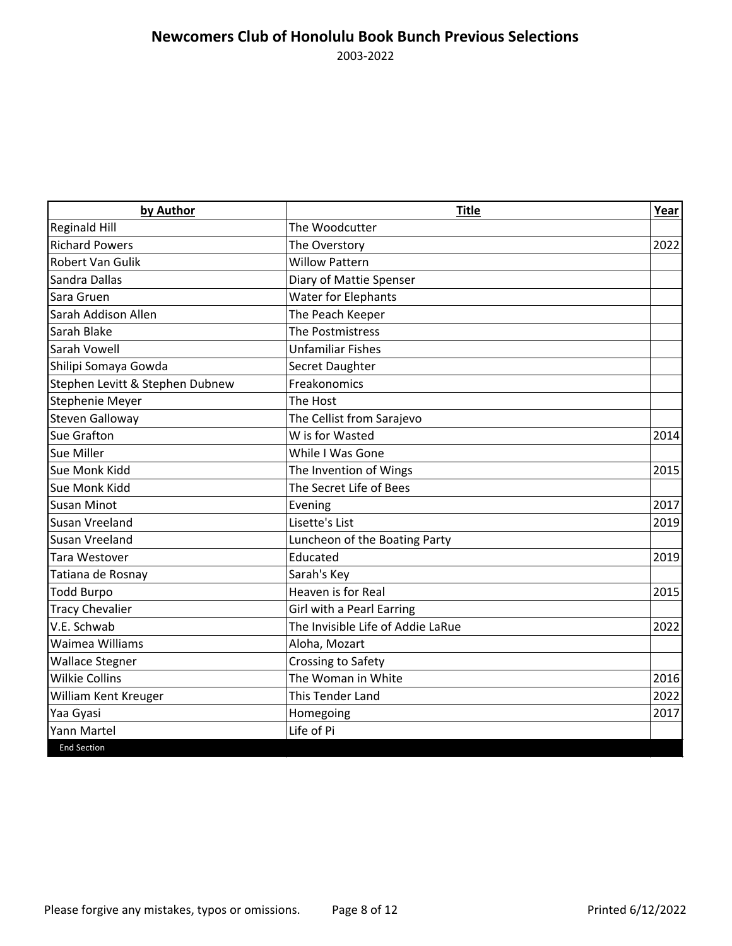| by Author                       | <b>Title</b>                      | Year |
|---------------------------------|-----------------------------------|------|
| <b>Reginald Hill</b>            | The Woodcutter                    |      |
| <b>Richard Powers</b>           | The Overstory                     | 2022 |
| <b>Robert Van Gulik</b>         | <b>Willow Pattern</b>             |      |
| Sandra Dallas                   | Diary of Mattie Spenser           |      |
| Sara Gruen                      | <b>Water for Elephants</b>        |      |
| Sarah Addison Allen             | The Peach Keeper                  |      |
| Sarah Blake                     | The Postmistress                  |      |
| Sarah Vowell                    | <b>Unfamiliar Fishes</b>          |      |
| Shilipi Somaya Gowda            | Secret Daughter                   |      |
| Stephen Levitt & Stephen Dubnew | Freakonomics                      |      |
| Stephenie Meyer                 | The Host                          |      |
| <b>Steven Galloway</b>          | The Cellist from Sarajevo         |      |
| <b>Sue Grafton</b>              | W is for Wasted                   | 2014 |
| Sue Miller                      | While I Was Gone                  |      |
| Sue Monk Kidd                   | The Invention of Wings            | 2015 |
| Sue Monk Kidd                   | The Secret Life of Bees           |      |
| <b>Susan Minot</b>              | Evening                           | 2017 |
| <b>Susan Vreeland</b>           | Lisette's List                    | 2019 |
| Susan Vreeland                  | Luncheon of the Boating Party     |      |
| Tara Westover                   | Educated                          | 2019 |
| Tatiana de Rosnay               | Sarah's Key                       |      |
| <b>Todd Burpo</b>               | Heaven is for Real                | 2015 |
| <b>Tracy Chevalier</b>          | Girl with a Pearl Earring         |      |
| V.E. Schwab                     | The Invisible Life of Addie LaRue | 2022 |
| Waimea Williams                 | Aloha, Mozart                     |      |
| <b>Wallace Stegner</b>          | <b>Crossing to Safety</b>         |      |
| <b>Wilkie Collins</b>           | The Woman in White                | 2016 |
| <b>William Kent Kreuger</b>     | <b>This Tender Land</b>           | 2022 |
| Yaa Gyasi                       | Homegoing                         | 2017 |
| <b>Yann Martel</b>              | Life of Pi                        |      |
| <b>End Section</b>              |                                   |      |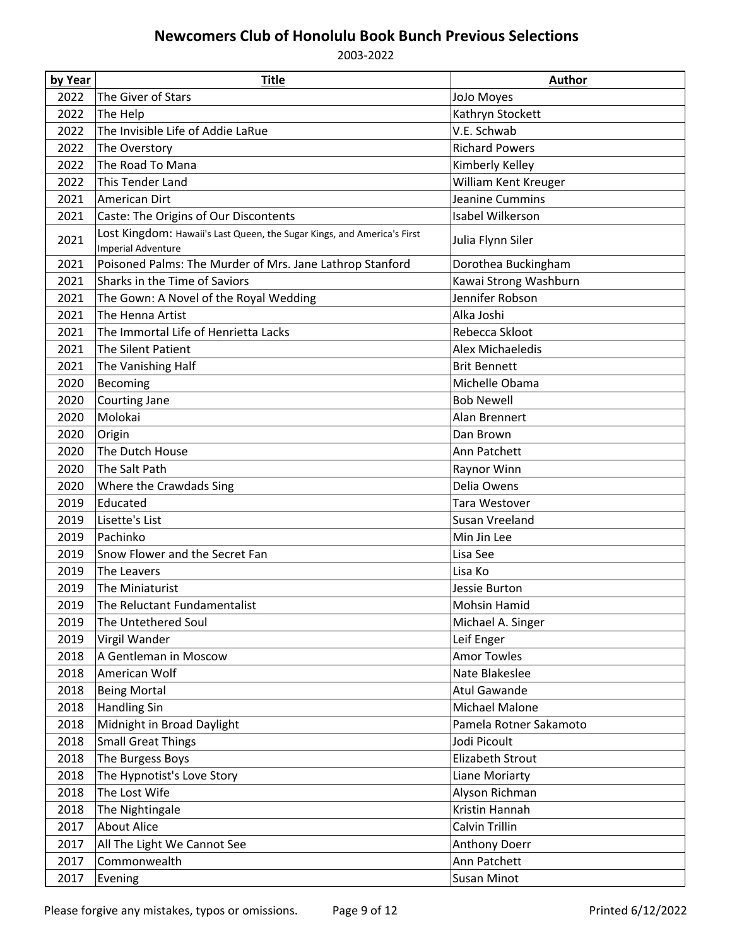| by Year | <b>Title</b>                                                                                         | <b>Author</b>           |
|---------|------------------------------------------------------------------------------------------------------|-------------------------|
| 2022    | The Giver of Stars                                                                                   | JoJo Moyes              |
| 2022    | The Help                                                                                             | Kathryn Stockett        |
| 2022    | The Invisible Life of Addie LaRue                                                                    | V.E. Schwab             |
| 2022    | The Overstory                                                                                        | <b>Richard Powers</b>   |
| 2022    | The Road To Mana                                                                                     | Kimberly Kelley         |
| 2022    | This Tender Land                                                                                     | William Kent Kreuger    |
| 2021    | American Dirt                                                                                        | Jeanine Cummins         |
| 2021    | Caste: The Origins of Our Discontents                                                                | Isabel Wilkerson        |
| 2021    | Lost Kingdom: Hawaii's Last Queen, the Sugar Kings, and America's First<br><b>Imperial Adventure</b> | Julia Flynn Siler       |
| 2021    | Poisoned Palms: The Murder of Mrs. Jane Lathrop Stanford                                             | Dorothea Buckingham     |
| 2021    | Sharks in the Time of Saviors                                                                        | Kawai Strong Washburn   |
| 2021    | The Gown: A Novel of the Royal Wedding                                                               | Jennifer Robson         |
| 2021    | The Henna Artist                                                                                     | Alka Joshi              |
| 2021    | The Immortal Life of Henrietta Lacks                                                                 | Rebecca Skloot          |
| 2021    | The Silent Patient                                                                                   | <b>Alex Michaeledis</b> |
| 2021    | The Vanishing Half                                                                                   | <b>Brit Bennett</b>     |
| 2020    | Becoming                                                                                             | Michelle Obama          |
| 2020    | Courting Jane                                                                                        | <b>Bob Newell</b>       |
| 2020    | Molokai                                                                                              | Alan Brennert           |
| 2020    | Origin                                                                                               | Dan Brown               |
| 2020    | The Dutch House                                                                                      | Ann Patchett            |
| 2020    | The Salt Path                                                                                        | Raynor Winn             |
| 2020    | Where the Crawdads Sing                                                                              | Delia Owens             |
| 2019    | Educated                                                                                             | Tara Westover           |
| 2019    | Lisette's List                                                                                       | Susan Vreeland          |
| 2019    | Pachinko                                                                                             | Min Jin Lee             |
| 2019    | Snow Flower and the Secret Fan                                                                       | Lisa See                |
| 2019    | The Leavers                                                                                          | Lisa Ko                 |
| 2019    | The Miniaturist                                                                                      | Jessie Burton           |
| 2019    | The Reluctant Fundamentalist                                                                         | Mohsin Hamid            |
| 2019    | The Untethered Soul                                                                                  | Michael A. Singer       |
| 2019    | Virgil Wander                                                                                        | Leif Enger              |
| 2018    | A Gentleman in Moscow                                                                                | <b>Amor Towles</b>      |
| 2018    | American Wolf                                                                                        | Nate Blakeslee          |
| 2018    | <b>Being Mortal</b>                                                                                  | <b>Atul Gawande</b>     |
| 2018    | <b>Handling Sin</b>                                                                                  | Michael Malone          |
| 2018    | Midnight in Broad Daylight                                                                           | Pamela Rotner Sakamoto  |
| 2018    | <b>Small Great Things</b>                                                                            | Jodi Picoult            |
| 2018    | The Burgess Boys                                                                                     | <b>Elizabeth Strout</b> |
| 2018    | The Hypnotist's Love Story                                                                           | Liane Moriarty          |
| 2018    | The Lost Wife                                                                                        | Alyson Richman          |
| 2018    | The Nightingale                                                                                      | Kristin Hannah          |
| 2017    | <b>About Alice</b>                                                                                   | Calvin Trillin          |
| 2017    | All The Light We Cannot See                                                                          | Anthony Doerr           |
| 2017    | Commonwealth                                                                                         | Ann Patchett            |
| 2017    | Evening                                                                                              | Susan Minot             |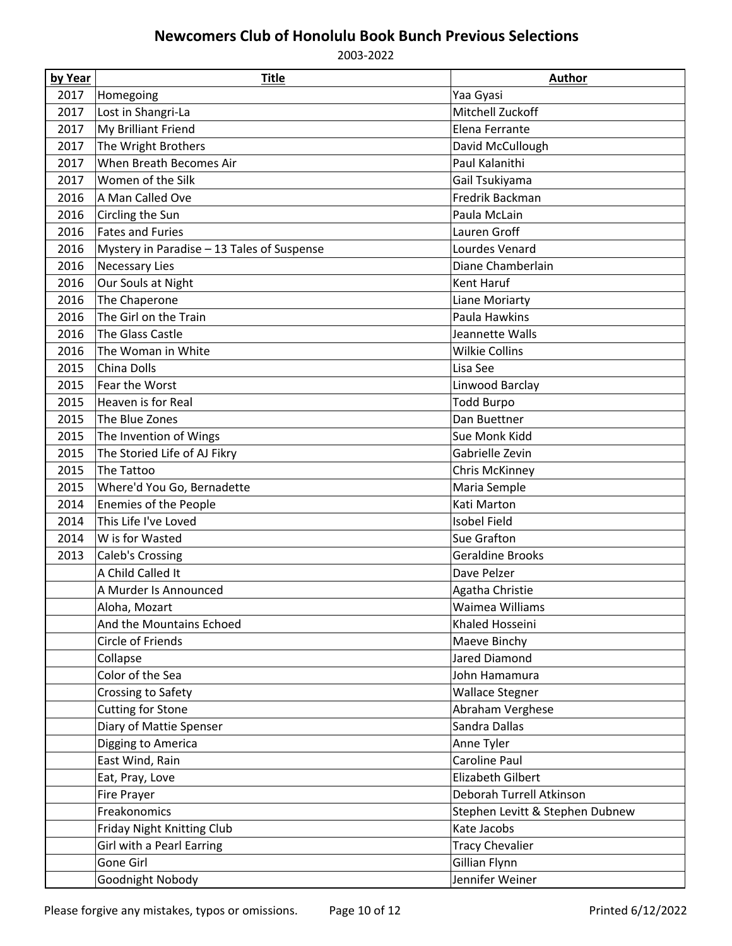| by Year | <b>Title</b>                               | <b>Author</b>                   |
|---------|--------------------------------------------|---------------------------------|
| 2017    | Homegoing                                  | Yaa Gyasi                       |
| 2017    | Lost in Shangri-La                         | Mitchell Zuckoff                |
| 2017    | My Brilliant Friend                        | Elena Ferrante                  |
| 2017    | The Wright Brothers                        | David McCullough                |
| 2017    | When Breath Becomes Air                    | Paul Kalanithi                  |
| 2017    | Women of the Silk                          | Gail Tsukiyama                  |
| 2016    | A Man Called Ove                           | Fredrik Backman                 |
| 2016    | Circling the Sun                           | Paula McLain                    |
| 2016    | <b>Fates and Furies</b>                    | Lauren Groff                    |
| 2016    | Mystery in Paradise - 13 Tales of Suspense | Lourdes Venard                  |
| 2016    | <b>Necessary Lies</b>                      | Diane Chamberlain               |
| 2016    | Our Souls at Night                         | Kent Haruf                      |
| 2016    | The Chaperone                              | Liane Moriarty                  |
| 2016    | The Girl on the Train                      | Paula Hawkins                   |
| 2016    | The Glass Castle                           | Jeannette Walls                 |
| 2016    | The Woman in White                         | <b>Wilkie Collins</b>           |
| 2015    | China Dolls                                | Lisa See                        |
| 2015    | Fear the Worst                             | Linwood Barclay                 |
| 2015    | Heaven is for Real                         | <b>Todd Burpo</b>               |
| 2015    | The Blue Zones                             | Dan Buettner                    |
| 2015    | The Invention of Wings                     | Sue Monk Kidd                   |
| 2015    | The Storied Life of AJ Fikry               | Gabrielle Zevin                 |
| 2015    | The Tattoo                                 | Chris McKinney                  |
| 2015    | Where'd You Go, Bernadette                 | Maria Semple                    |
| 2014    | Enemies of the People                      | Kati Marton                     |
| 2014    | This Life I've Loved                       | <b>Isobel Field</b>             |
| 2014    | W is for Wasted                            | Sue Grafton                     |
| 2013    | Caleb's Crossing                           | <b>Geraldine Brooks</b>         |
|         | A Child Called It                          | Dave Pelzer                     |
|         | A Murder Is Announced                      | Agatha Christie                 |
|         | Aloha, Mozart                              | Waimea Williams                 |
|         | And the Mountains Echoed                   | Khaled Hosseini                 |
|         | Circle of Friends                          | Maeve Binchy                    |
|         | Collapse                                   | Jared Diamond                   |
|         | Color of the Sea                           | John Hamamura                   |
|         | Crossing to Safety                         | <b>Wallace Stegner</b>          |
|         | <b>Cutting for Stone</b>                   | Abraham Verghese                |
|         | Diary of Mattie Spenser                    | Sandra Dallas                   |
|         | Digging to America                         | Anne Tyler                      |
|         | East Wind, Rain                            | Caroline Paul                   |
|         | Eat, Pray, Love                            | <b>Elizabeth Gilbert</b>        |
|         | <b>Fire Prayer</b>                         | Deborah Turrell Atkinson        |
|         | Freakonomics                               | Stephen Levitt & Stephen Dubnew |
|         | Friday Night Knitting Club                 | Kate Jacobs                     |
|         | Girl with a Pearl Earring                  | <b>Tracy Chevalier</b>          |
|         | Gone Girl                                  | Gillian Flynn                   |
|         | Goodnight Nobody                           | Jennifer Weiner                 |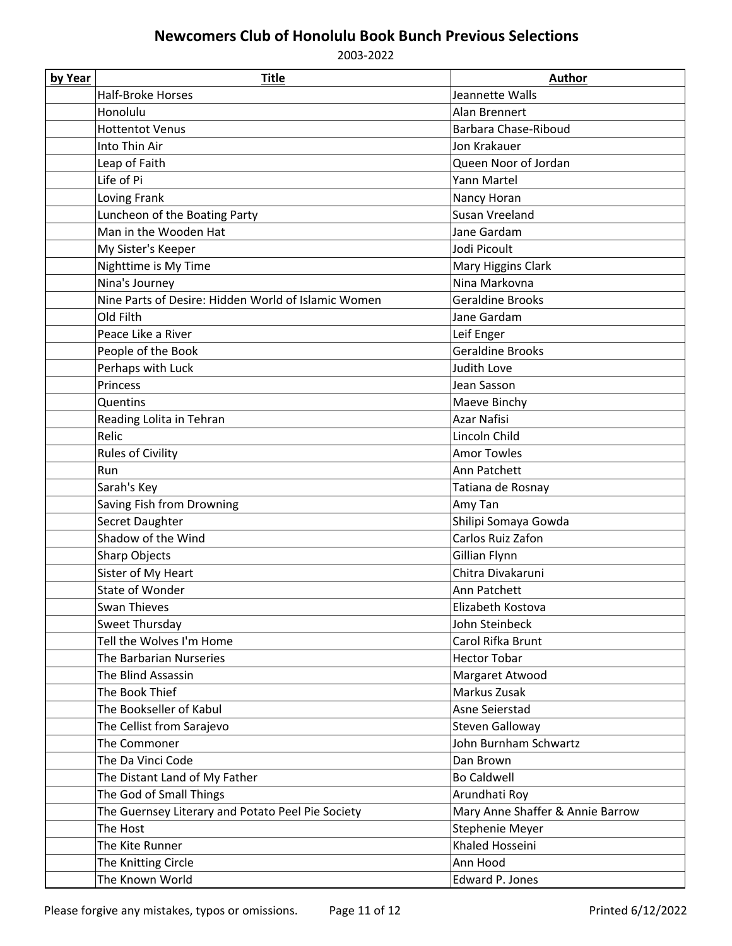| by Year | <b>Title</b>                                        | <b>Author</b>                    |
|---------|-----------------------------------------------------|----------------------------------|
|         | <b>Half-Broke Horses</b>                            | Jeannette Walls                  |
|         | Honolulu                                            | Alan Brennert                    |
|         | <b>Hottentot Venus</b>                              | Barbara Chase-Riboud             |
|         | Into Thin Air                                       | Jon Krakauer                     |
|         | Leap of Faith                                       | Queen Noor of Jordan             |
|         | Life of Pi                                          | Yann Martel                      |
|         | Loving Frank                                        | Nancy Horan                      |
|         | Luncheon of the Boating Party                       | Susan Vreeland                   |
|         | Man in the Wooden Hat                               | Jane Gardam                      |
|         | My Sister's Keeper                                  | Jodi Picoult                     |
|         | Nighttime is My Time                                | Mary Higgins Clark               |
|         | Nina's Journey                                      | Nina Markovna                    |
|         | Nine Parts of Desire: Hidden World of Islamic Women | <b>Geraldine Brooks</b>          |
|         | Old Filth                                           | Jane Gardam                      |
|         | Peace Like a River                                  | Leif Enger                       |
|         | People of the Book                                  | <b>Geraldine Brooks</b>          |
|         | Perhaps with Luck                                   | Judith Love                      |
|         | Princess                                            | Jean Sasson                      |
|         | Quentins                                            | Maeve Binchy                     |
|         | Reading Lolita in Tehran                            | <b>Azar Nafisi</b>               |
|         | Relic                                               | Lincoln Child                    |
|         | Rules of Civility                                   | <b>Amor Towles</b>               |
|         | Run                                                 | Ann Patchett                     |
|         | Sarah's Key                                         | Tatiana de Rosnay                |
|         | Saving Fish from Drowning                           | Amy Tan                          |
|         | Secret Daughter                                     | Shilipi Somaya Gowda             |
|         | Shadow of the Wind                                  | Carlos Ruiz Zafon                |
|         | Sharp Objects                                       | Gillian Flynn                    |
|         | Sister of My Heart                                  | Chitra Divakaruni                |
|         | <b>State of Wonder</b>                              | Ann Patchett                     |
|         | Swan Thieves                                        | Elizabeth Kostova                |
|         | Sweet Thursday                                      | John Steinbeck                   |
|         | Tell the Wolves I'm Home                            | Carol Rifka Brunt                |
|         | The Barbarian Nurseries                             | <b>Hector Tobar</b>              |
|         | The Blind Assassin                                  | Margaret Atwood                  |
|         | The Book Thief                                      | Markus Zusak                     |
|         | The Bookseller of Kabul                             | Asne Seierstad                   |
|         | The Cellist from Sarajevo                           | Steven Galloway                  |
|         | The Commoner                                        | John Burnham Schwartz            |
|         | The Da Vinci Code                                   | Dan Brown                        |
|         | The Distant Land of My Father                       | <b>Bo Caldwell</b>               |
|         | The God of Small Things                             | Arundhati Roy                    |
|         | The Guernsey Literary and Potato Peel Pie Society   | Mary Anne Shaffer & Annie Barrow |
|         | The Host                                            | Stephenie Meyer                  |
|         | The Kite Runner                                     | Khaled Hosseini                  |
|         | The Knitting Circle                                 | Ann Hood                         |
|         | The Known World                                     | Edward P. Jones                  |